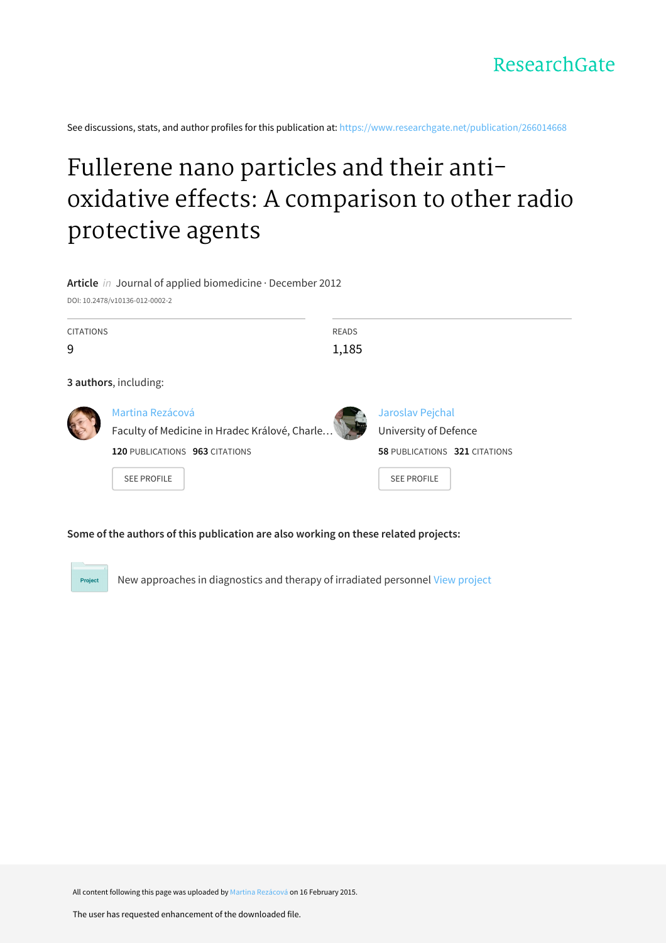See discussions, stats, and author profiles for this publication at: [https://www.researchgate.net/publication/266014668](https://www.researchgate.net/publication/266014668_Fullerene_nano_particles_and_their_anti-oxidative_effects_A_comparison_to_other_radio_protective_agents?enrichId=rgreq-97d34470a571eec7e7ffa0f769b85aa1-XXX&enrichSource=Y292ZXJQYWdlOzI2NjAxNDY2ODtBUzoxOTczODUzNzc1ODcyMDBAMTQyNDA3MTc0OTcwMg%3D%3D&el=1_x_2&_esc=publicationCoverPdf)

# Fullerene nano particles and their antioxidative effects: A [comparison](https://www.researchgate.net/publication/266014668_Fullerene_nano_particles_and_their_anti-oxidative_effects_A_comparison_to_other_radio_protective_agents?enrichId=rgreq-97d34470a571eec7e7ffa0f769b85aa1-XXX&enrichSource=Y292ZXJQYWdlOzI2NjAxNDY2ODtBUzoxOTczODUzNzc1ODcyMDBAMTQyNDA3MTc0OTcwMg%3D%3D&el=1_x_3&_esc=publicationCoverPdf) to other radio protective agents

**Article** in Journal of applied biomedicine · December 2012

DOI: 10.2478/v10136-012-0002-2

| <b>CITATIONS</b><br>9 |                                                                   | READS<br>1,185 |                                           |  |
|-----------------------|-------------------------------------------------------------------|----------------|-------------------------------------------|--|
|                       | 3 authors, including:                                             |                |                                           |  |
|                       | Martina Rezácová<br>Faculty of Medicine in Hradec Králové, Charle |                | Jaroslav Pejchal<br>University of Defence |  |

**120** PUBLICATIONS **963** CITATIONS

SEE [PROFILE](https://www.researchgate.net/profile/Martina_Rezacova?enrichId=rgreq-97d34470a571eec7e7ffa0f769b85aa1-XXX&enrichSource=Y292ZXJQYWdlOzI2NjAxNDY2ODtBUzoxOTczODUzNzc1ODcyMDBAMTQyNDA3MTc0OTcwMg%3D%3D&el=1_x_7&_esc=publicationCoverPdf)

| Univer |  |  |  |
|--------|--|--|--|
|        |  |  |  |

**58** PUBLICATIONS **321** CITATIONS

SEE [PROFILE](https://www.researchgate.net/profile/Jaroslav_Pejchal4?enrichId=rgreq-97d34470a571eec7e7ffa0f769b85aa1-XXX&enrichSource=Y292ZXJQYWdlOzI2NjAxNDY2ODtBUzoxOTczODUzNzc1ODcyMDBAMTQyNDA3MTc0OTcwMg%3D%3D&el=1_x_7&_esc=publicationCoverPdf)

### **Some of the authors of this publication are also working on these related projects:**

Project New approaches in diagnostics and therapy of irradiated personnel View [project](https://www.researchgate.net/project/New-approaches-in-diagnostics-and-therapy-of-irradiated-personnel?enrichId=rgreq-97d34470a571eec7e7ffa0f769b85aa1-XXX&enrichSource=Y292ZXJQYWdlOzI2NjAxNDY2ODtBUzoxOTczODUzNzc1ODcyMDBAMTQyNDA3MTc0OTcwMg%3D%3D&el=1_x_9&_esc=publicationCoverPdf)

All content following this page was uploaded by Martina [Rezácová](https://www.researchgate.net/profile/Martina_Rezacova?enrichId=rgreq-97d34470a571eec7e7ffa0f769b85aa1-XXX&enrichSource=Y292ZXJQYWdlOzI2NjAxNDY2ODtBUzoxOTczODUzNzc1ODcyMDBAMTQyNDA3MTc0OTcwMg%3D%3D&el=1_x_10&_esc=publicationCoverPdf) on 16 February 2015.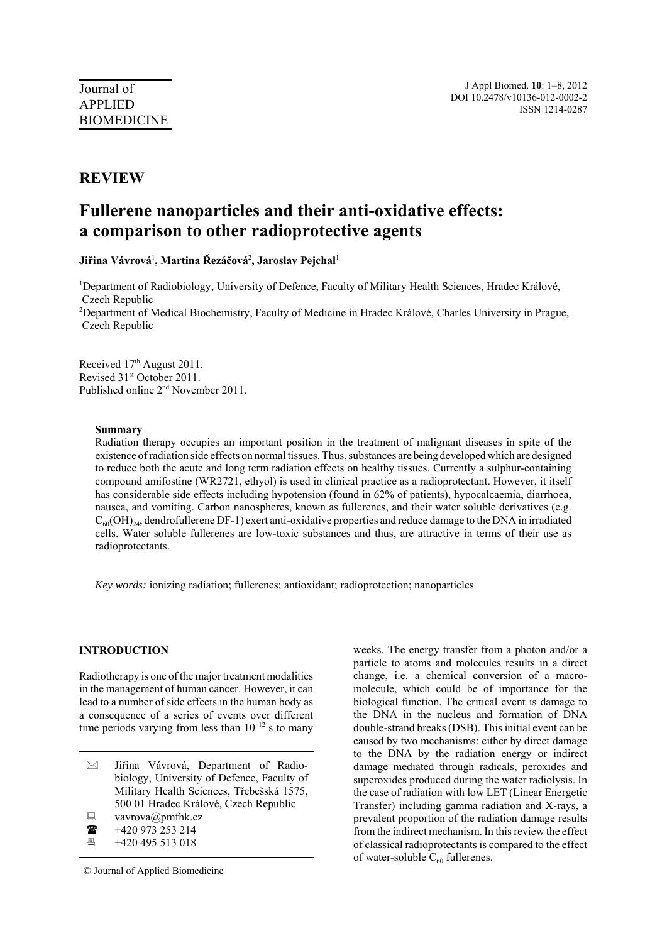## **REVIEW**

# **Fullerene nanoparticles and their anti-oxidative effects: a comparison to other radioprotective agents**

**Jiřina Vávrová**<sup>1</sup> **, Martina Řezáčová**<sup>2</sup> **, Jaroslav Pejchal**<sup>1</sup>

<sup>1</sup>Department of Radiobiology, University of Defence, Faculty of Military Health Sciences, Hradec Králové, Czech Republic

<sup>2</sup>Department of Medical Biochemistry, Faculty of Medicine in Hradec Králové, Charles University in Prague, Czech Republic

Received 17<sup>th</sup> August 2011. Revised 31st October 2011. Published online 2nd November 2011.

#### **Summary**

Radiation therapy occupies an important position in the treatment of malignant diseases in spite of the existence of radiation side effects on normal tissues. Thus, substances are being developed which are designed to reduce both the acute and long term radiation effects on healthy tissues. Currently a sulphur-containing compound amifostine (WR2721, ethyol) is used in clinical practice as a radioprotectant. However, it itself has considerable side effects including hypotension (found in 62% of patients), hypocalcaemia, diarrhoea, nausea, and vomiting. Carbon nanospheres, known as fullerenes, and their water soluble derivatives (e.g.  $C_{60}(OH)_{24}$ , dendrofullerene DF-1) exert anti-oxidative properties and reduce damage to the DNA in irradiated cells. Water soluble fullerenes are low-toxic substances and thus, are attractive in terms of their use as radioprotectants.

*Key words:* ionizing radiation; fullerenes; antioxidant; radioprotection; nanoparticles

#### **INTRODUCTION**

Radiotherapy is one of the major treatment modalities in the management of human cancer. However, it can lead to a number of side effects in the human body as a consequence of a series of events over different time periods varying from less than  $10^{-12}$  s to many

- $\boxtimes$  Jiřina Vávrová, Department of Radiobiology, University of Defence, Faculty of Military Health Sciences, Třebešská 1575, 500 01 Hradec Králové, Czech Republic
- $\Box$  vavrova@pmfhk.cz
- $\bullet$  +420 973 253 214
- $\overline{420}$  +420 495 513 018

© Journal of Applied Biomedicine

weeks. The energy transfer from a photon and/or a particle to atoms and molecules results in a direct change, i.e. a chemical conversion of a macromolecule, which could be of importance for the biological function. The critical event is damage to the DNA in the nucleus and formation of DNA double-strand breaks (DSB). This initial event can be caused by two mechanisms: either by direct damage to the DNA by the radiation energy or indirect damage mediated through radicals, peroxides and superoxides produced during the water radiolysis. In the case of radiation with low LET (Linear Energetic Transfer) including gamma radiation and X-rays, a prevalent proportion of the radiation damage results from the indirect mechanism. In this review the effect of classical radioprotectants is compared to the effect of water-soluble  $C_{60}$  fullerenes.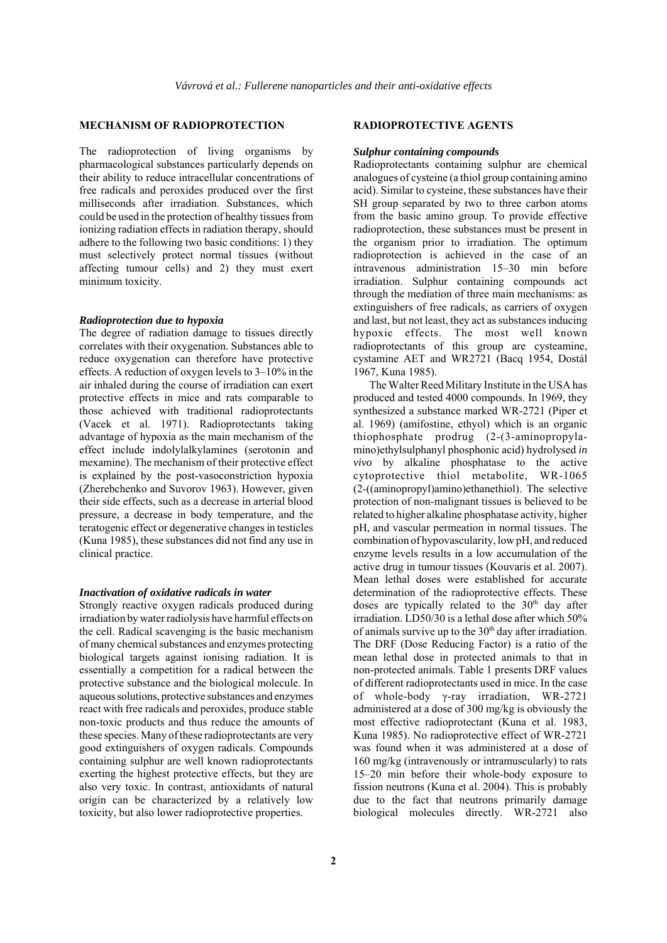#### **MECHANISM OF RADIOPROTECTION**

The radioprotection of living organisms by pharmacological substances particularly depends on their ability to reduce intracellular concentrations of free radicals and peroxides produced over the first milliseconds after irradiation. Substances, which could be used in the protection of healthy tissues from ionizing radiation effects in radiation therapy, should adhere to the following two basic conditions: 1) they must selectively protect normal tissues (without affecting tumour cells) and 2) they must exert minimum toxicity.

#### *Radioprotection due to hypoxia*

The degree of radiation damage to tissues directly correlates with their oxygenation. Substances able to reduce oxygenation can therefore have protective effects. A reduction of oxygen levels to 3–10% in the air inhaled during the course of irradiation can exert protective effects in mice and rats comparable to those achieved with traditional radioprotectants (Vacek et al. 1971). Radioprotectants taking advantage of hypoxia as the main mechanism of the effect include indolylalkylamines (serotonin and mexamine). The mechanism of their protective effect is explained by the post-vasoconstriction hypoxia (Zherebchenko and Suvorov 1963). However, given their side effects, such as a decrease in arterial blood pressure, a decrease in body temperature, and the teratogenic effect or degenerative changes in testicles (Kuna 1985), these substances did not find any use in clinical practice.

#### *Inactivation of oxidative radicals in water*

Strongly reactive oxygen radicals produced during irradiation by water radiolysis have harmful effects on the cell. Radical scavenging is the basic mechanism of many chemical substances and enzymes protecting biological targets against ionising radiation. It is essentially a competition for a radical between the protective substance and the biological molecule. In aqueous solutions, protective substances and enzymes react with free radicals and peroxides, produce stable non-toxic products and thus reduce the amounts of these species. Many of these radioprotectants are very good extinguishers of oxygen radicals. Compounds containing sulphur are well known radioprotectants exerting the highest protective effects, but they are also very toxic. In contrast, antioxidants of natural origin can be characterized by a relatively low toxicity, but also lower radioprotective properties.

#### **RADIOPROTECTIVE AGENTS**

#### *Sulphur containing compounds*

Radioprotectants containing sulphur are chemical analogues of cysteine (a thiol group containing amino acid). Similar to cysteine, these substances have their SH group separated by two to three carbon atoms from the basic amino group. To provide effective radioprotection, these substances must be present in the organism prior to irradiation. The optimum radioprotection is achieved in the case of an intravenous administration 15–30 min before irradiation. Sulphur containing compounds act through the mediation of three main mechanisms: as extinguishers of free radicals, as carriers of oxygen and last, but not least, they act as substances inducing hypoxic effects. The most well known radioprotectants of this group are cysteamine, cystamine AET and WR2721 (Bacq 1954, Dostál 1967, Kuna 1985).

The Walter Reed Military Institute in the USA has produced and tested 4000 compounds. In 1969, they synthesized a substance marked WR-2721 (Piper et al. 1969) (amifostine, ethyol) which is an organic thiophosphate prodrug (2-(3-aminopropylamino)ethylsulphanyl phosphonic acid) hydrolysed *in vivo* by alkaline phosphatase to the active cytoprotective thiol metabolite, WR-1065 (2-((aminopropyl)amino)ethanethiol). The selective protection of non-malignant tissues is believed to be related to higher alkaline phosphatase activity, higher pH, and vascular permeation in normal tissues. The combination of hypovascularity, low pH, and reduced enzyme levels results in a low accumulation of the active drug in tumour tissues (Kouvaris et al. 2007). Mean lethal doses were established for accurate determination of the radioprotective effects. These doses are typically related to the  $30<sup>th</sup>$  day after irradiation. LD50/30 is a lethal dose after which 50% of animals survive up to the  $30<sup>th</sup>$  day after irradiation. The DRF (Dose Reducing Factor) is a ratio of the mean lethal dose in protected animals to that in non-protected animals. Table 1 presents DRF values of different radioprotectants used in mice. In the case of whole-body γ-ray irradiation, WR-2721 administered at a dose of 300 mg/kg is obviously the most effective radioprotectant (Kuna et al. 1983, Kuna 1985). No radioprotective effect of WR-2721 was found when it was administered at a dose of 160 mg/kg (intravenously or intramuscularly) to rats 15–20 min before their whole-body exposure to fission neutrons (Kuna et al. 2004). This is probably due to the fact that neutrons primarily damage biological molecules directly. WR-2721 also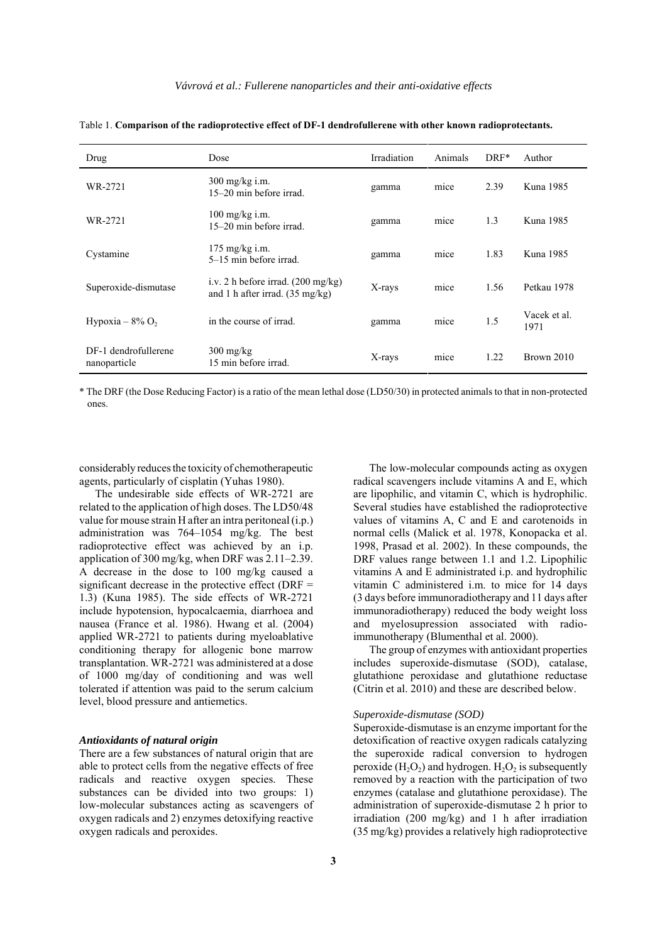| Drug                                 | Dose                                                                                      | Irradiation | Animals | $DRF*$ | Author               |
|--------------------------------------|-------------------------------------------------------------------------------------------|-------------|---------|--------|----------------------|
| WR-2721                              | $300 \text{ mg/kg}$ i.m.<br>15–20 min before irrad.                                       | gamma       | mice    | 2.39   | Kuna 1985            |
| WR-2721                              | $100 \text{ mg/kg}$ i.m.<br>15–20 min before irrad.                                       | gamma       | mice    | 1.3    | Kuna 1985            |
| Cystamine                            | $175 \text{ mg/kg}$ i.m.<br>5–15 min before irrad.                                        | gamma       | mice    | 1.83   | Kuna 1985            |
| Superoxide-dismutase                 | i.v. 2 h before irrad. $(200 \text{ mg/kg})$<br>and 1 h after irrad. $(35 \text{ mg/kg})$ | X-rays      | mice    | 1.56   | Petkau 1978          |
| Hypoxia – $8\%$ O <sub>2</sub>       | in the course of irrad.                                                                   | gamma       | mice    | 1.5    | Vacek et al.<br>1971 |
| DF-1 dendrofullerene<br>nanoparticle | $300 \text{ mg/kg}$<br>15 min before irrad.                                               | X-rays      | mice    | 1.22   | Brown 2010           |

Table 1. **Comparison of the radioprotective effect of DF-1 dendrofullerene with other known radioprotectants.**

\* The DRF (the Dose Reducing Factor) is a ratio of the mean lethal dose (LD50/30) in protected animals to that in non-protected ones.

considerably reduces the toxicity of chemotherapeutic agents, particularly of cisplatin (Yuhas 1980).

The undesirable side effects of WR-2721 are related to the application of high doses. The LD50/48 value for mouse strain H after an intra peritoneal (i.p.) administration was 764–1054 mg/kg. The best radioprotective effect was achieved by an i.p. application of 300 mg/kg, when DRF was 2.11–2.39. A decrease in the dose to 100 mg/kg caused a significant decrease in the protective effect ( $DRF =$ 1.3) (Kuna 1985). The side effects of WR-2721 include hypotension, hypocalcaemia, diarrhoea and nausea (France et al. 1986). Hwang et al. (2004) applied WR-2721 to patients during myeloablative conditioning therapy for allogenic bone marrow transplantation. WR-2721 was administered at a dose of 1000 mg/day of conditioning and was well tolerated if attention was paid to the serum calcium level, blood pressure and antiemetics.

#### *Antioxidants of natural origin*

There are a few substances of natural origin that are able to protect cells from the negative effects of free radicals and reactive oxygen species. These substances can be divided into two groups: 1) low-molecular substances acting as scavengers of oxygen radicals and 2) enzymes detoxifying reactive oxygen radicals and peroxides.

**3**

The low-molecular compounds acting as oxygen radical scavengers include vitamins A and E, which are lipophilic, and vitamin C, which is hydrophilic. Several studies have established the radioprotective values of vitamins A, C and E and carotenoids in normal cells (Malick et al. 1978, Konopacka et al. 1998, Prasad et al. 2002). In these compounds, the DRF values range between 1.1 and 1.2. Lipophilic vitamins A and E administrated i.p. and hydrophilic vitamin C administered i.m. to mice for 14 days (3 days before immunoradiotherapy and 11 days after immunoradiotherapy) reduced the body weight loss and myelosupression associated with radioimmunotherapy (Blumenthal et al. 2000).

The group of enzymes with antioxidant properties includes superoxide-dismutase (SOD), catalase, glutathione peroxidase and glutathione reductase (Citrin et al. 2010) and these are described below.

#### *Superoxide-dismutase (SOD)*

Superoxide-dismutase is an enzyme important for the detoxification of reactive oxygen radicals catalyzing the superoxide radical conversion to hydrogen peroxide  $(H<sub>2</sub>O<sub>2</sub>)$  and hydrogen.  $H<sub>2</sub>O<sub>2</sub>$  is subsequently removed by a reaction with the participation of two enzymes (catalase and glutathione peroxidase). The administration of superoxide-dismutase 2 h prior to irradiation (200 mg/kg) and 1 h after irradiation (35 mg/kg) provides a relatively high radioprotective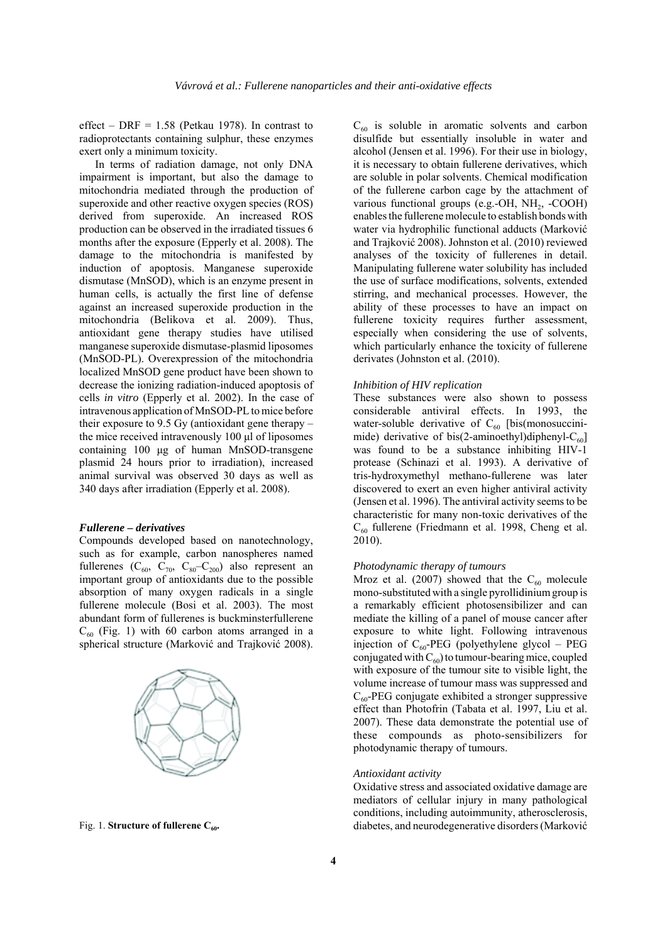effect – DRF =  $1.58$  (Petkau 1978). In contrast to radioprotectants containing sulphur, these enzymes exert only a minimum toxicity.

In terms of radiation damage, not only DNA impairment is important, but also the damage to mitochondria mediated through the production of superoxide and other reactive oxygen species (ROS) derived from superoxide. An increased ROS production can be observed in the irradiated tissues 6 months after the exposure (Epperly et al. 2008). The damage to the mitochondria is manifested by induction of apoptosis. Manganese superoxide dismutase (MnSOD), which is an enzyme present in human cells, is actually the first line of defense against an increased superoxide production in the mitochondria (Belikova et al. 2009). Thus, antioxidant gene therapy studies have utilised manganese superoxide dismutase-plasmid liposomes (MnSOD-PL). Overexpression of the mitochondria localized MnSOD gene product have been shown to decrease the ionizing radiation-induced apoptosis of cells *in vitro* (Epperly et al. 2002). In the case of intravenous application of MnSOD-PL to mice before their exposure to 9.5 Gy (antioxidant gene therapy – the mice received intravenously 100 μl of liposomes containing 100 μg of human MnSOD-transgene plasmid 24 hours prior to irradiation), increased animal survival was observed 30 days as well as 340 days after irradiation (Epperly et al. 2008).

#### *Fullerene – derivatives*

Compounds developed based on nanotechnology, such as for example, carbon nanospheres named fullerenes  $(C_{60}, C_{70}, C_{80}-C_{200})$  also represent an important group of antioxidants due to the possible absorption of many oxygen radicals in a single fullerene molecule (Bosi et al. 2003). The most abundant form of fullerenes is buckminsterfullerene  $C_{60}$  (Fig. 1) with 60 carbon atoms arranged in a spherical structure (Marković and Trajković 2008).



Fig. 1. **Structure of fullerene C<sub>60</sub>.** 

 $C_{60}$  is soluble in aromatic solvents and carbon disulfide but essentially insoluble in water and alcohol (Jensen et al. 1996). For their use in biology, it is necessary to obtain fullerene derivatives, which are soluble in polar solvents. Chemical modification of the fullerene carbon cage by the attachment of various functional groups (e.g.-OH,  $NH<sub>2</sub>$ , -COOH) enables the fullerene molecule to establish bonds with water via hydrophilic functional adducts (Marković and Trajković 2008). Johnston et al. (2010) reviewed analyses of the toxicity of fullerenes in detail. Manipulating fullerene water solubility has included the use of surface modifications, solvents, extended stirring, and mechanical processes. However, the ability of these processes to have an impact on fullerene toxicity requires further assessment, especially when considering the use of solvents, which particularly enhance the toxicity of fullerene derivates (Johnston et al. (2010).

#### *Inhibition of HIV replication*

These substances were also shown to possess considerable antiviral effects. In 1993, the water-soluble derivative of  $C_{60}$  [bis(monosuccinimide) derivative of bis(2-aminoethyl)diphenyl- $C_{60}$ ] was found to be a substance inhibiting HIV-1 protease (Schinazi et al. 1993). A derivative of tris-hydroxymethyl methano-fullerene was later discovered to exert an even higher antiviral activity (Jensen et al. 1996). The antiviral activity seems to be characteristic for many non-toxic derivatives of the  $C_{60}$  fullerene (Friedmann et al. 1998, Cheng et al. 2010).

#### *Photodynamic therapy of tumours*

Mroz et al. (2007) showed that the  $C_{60}$  molecule mono-substituted with a single pyrollidinium group is a remarkably efficient photosensibilizer and can mediate the killing of a panel of mouse cancer after exposure to white light. Following intravenous injection of  $C_{60}$ -PEG (polyethylene glycol – PEG conjugated with  $C_{60}$ ) to tumour-bearing mice, coupled with exposure of the tumour site to visible light, the volume increase of tumour mass was suppressed and  $C_{60}$ -PEG conjugate exhibited a stronger suppressive effect than Photofrin (Tabata et al. 1997, Liu et al. 2007). These data demonstrate the potential use of these compounds as photo-sensibilizers for photodynamic therapy of tumours.

#### *Antioxidant activity*

Oxidative stress and associated oxidative damage are mediators of cellular injury in many pathological conditions, including autoimmunity, atherosclerosis, diabetes, and neurodegenerative disorders (Marković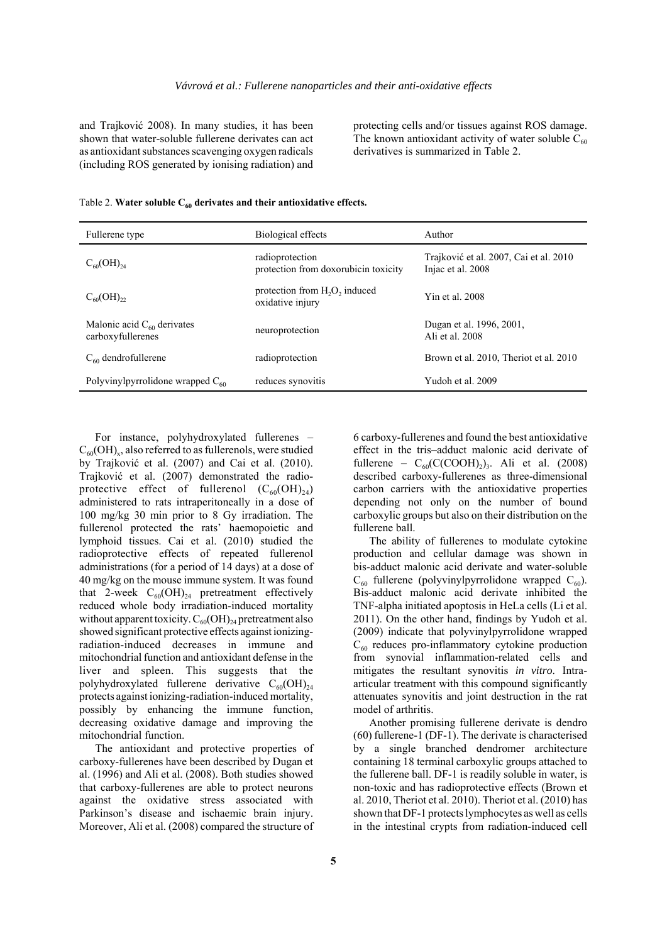and Trajković 2008). In many studies, it has been shown that water-soluble fullerene derivates can act as antioxidant substances scavenging oxygen radicals (including ROS generated by ionising radiation) and

protecting cells and/or tissues against ROS damage. The known antioxidant activity of water soluble  $C_{60}$ derivatives is summarized in Table 2.

| Fullerene type                                       | Biological effects                                                        | Author                                                      |  |  |
|------------------------------------------------------|---------------------------------------------------------------------------|-------------------------------------------------------------|--|--|
| $C_{60}(OH)_{24}$                                    | radioprotection<br>protection from doxorubicin toxicity                   | Trajković et al. 2007, Cai et al. 2010<br>Injac et al. 2008 |  |  |
| $C_{60}(OH)_{22}$                                    | protection from H <sub>2</sub> O <sub>2</sub> induced<br>oxidative injury | Yin et al. 2008                                             |  |  |
| Malonic acid $C_{60}$ derivates<br>carboxyfullerenes | neuroprotection                                                           | Dugan et al. 1996, 2001,<br>Ali et al. 2008                 |  |  |
| $C_{60}$ dendrofullerene                             | radioprotection                                                           | Brown et al. 2010. Theriot et al. 2010                      |  |  |
| Polyvinylpyrrolidone wrapped $C_{60}$                | reduces synovitis                                                         | Yudoh et al. 2009                                           |  |  |

|  |  |  |  |  |  |  | Table 2. Water soluble $C_{60}$ derivates and their antioxidative effects. |  |
|--|--|--|--|--|--|--|----------------------------------------------------------------------------|--|
|--|--|--|--|--|--|--|----------------------------------------------------------------------------|--|

For instance, polyhydroxylated fullerenes –  $C_{60}(OH)_{x}$ , also referred to as fullerenols, were studied by Trajković et al. (2007) and Cai et al. (2010). Trajković et al. (2007) demonstrated the radioprotective effect of fullerenol  $(C_{60}(OH)_{24})$ administered to rats intraperitoneally in a dose of 100 mg/kg 30 min prior to 8 Gy irradiation. The fullerenol protected the rats' haemopoietic and lymphoid tissues. Cai et al. (2010) studied the radioprotective effects of repeated fullerenol administrations (for a period of 14 days) at a dose of 40 mg/kg on the mouse immune system. It was found that 2-week  $C_{60}(OH)_{24}$  pretreatment effectively reduced whole body irradiation-induced mortality without apparent toxicity.  $C_{60}(OH)_{24}$  pretreatment also showed significant protective effects against ionizingradiation-induced decreases in immune and mitochondrial function and antioxidant defense in the liver and spleen. This suggests that the polyhydroxylated fullerene derivative  $C_{60}(\text{OH})_{24}$ protects against ionizing-radiation-induced mortality, possibly by enhancing the immune function, decreasing oxidative damage and improving the mitochondrial function.

The antioxidant and protective properties of carboxy-fullerenes have been described by Dugan et al. (1996) and Ali et al. (2008). Both studies showed that carboxy-fullerenes are able to protect neurons against the oxidative stress associated with Parkinson's disease and ischaemic brain injury. Moreover, Ali et al. (2008) compared the structure of

6 carboxy-fullerenes and found the best antioxidative effect in the tris–adduct malonic acid derivate of fullerene –  $C_{60}(C(COOH)_2)$ <sub>3</sub>. Ali et al. (2008) described carboxy-fullerenes as three-dimensional carbon carriers with the antioxidative properties depending not only on the number of bound carboxylic groups but also on their distribution on the fullerene ball.

The ability of fullerenes to modulate cytokine production and cellular damage was shown in bis-adduct malonic acid derivate and water-soluble  $C_{60}$  fullerene (polyvinylpyrrolidone wrapped  $C_{60}$ ). Bis-adduct malonic acid derivate inhibited the TNF-alpha initiated apoptosis in HeLa cells (Li et al. 2011). On the other hand, findings by Yudoh et al. (2009) indicate that polyvinylpyrrolidone wrapped  $C_{60}$  reduces pro-inflammatory cytokine production from synovial inflammation-related cells and mitigates the resultant synovitis *in vitro*. Intraarticular treatment with this compound significantly attenuates synovitis and joint destruction in the rat model of arthritis.

Another promising fullerene derivate is dendro (60) fullerene-1 (DF-1). The derivate is characterised by a single branched dendromer architecture containing 18 terminal carboxylic groups attached to the fullerene ball. DF-1 is readily soluble in water, is non-toxic and has radioprotective effects (Brown et al. 2010, Theriot et al. 2010). Theriot et al. (2010) has shown that DF-1 protects lymphocytes as well as cells in the intestinal crypts from radiation-induced cell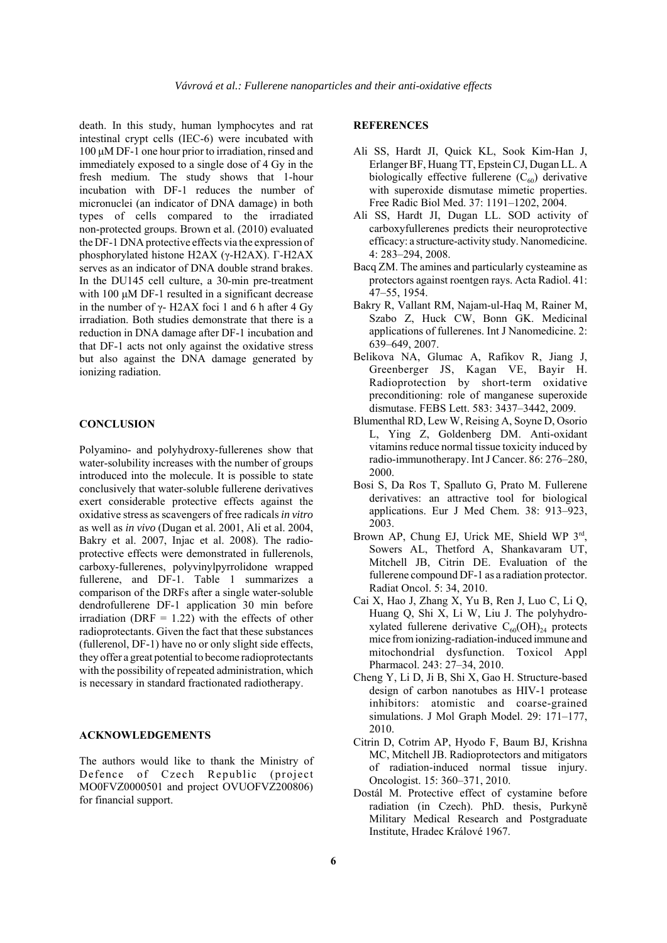death. In this study, human lymphocytes and rat intestinal crypt cells (IEC-6) were incubated with 100 μM DF-1 one hour prior to irradiation, rinsed and immediately exposed to a single dose of 4 Gy in the fresh medium. The study shows that 1-hour incubation with DF-1 reduces the number of micronuclei (an indicator of DNA damage) in both types of cells compared to the irradiated non-protected groups. Brown et al. (2010) evaluated the DF-1 DNA protective effects via the expression of phosphorylated histone H2AX (γ-H2AX). Γ-H2AX serves as an indicator of DNA double strand brakes. In the DU145 cell culture, a 30-min pre-treatment with 100 μM DF-1 resulted in a significant decrease in the number of  $γ$ - H2AX foci 1 and 6 h after 4 Gy irradiation. Both studies demonstrate that there is a reduction in DNA damage after DF-1 incubation and that DF-1 acts not only against the oxidative stress but also against the DNA damage generated by ionizing radiation.

#### **CONCLUSION**

Polyamino- and polyhydroxy-fullerenes show that water-solubility increases with the number of groups introduced into the molecule. It is possible to state conclusively that water-soluble fullerene derivatives exert considerable protective effects against the oxidative stress as scavengers of free radicals *in vitro* as well as *in vivo* (Dugan et al. 2001, Ali et al. 2004, Bakry et al. 2007, Injac et al. 2008). The radioprotective effects were demonstrated in fullerenols, carboxy-fullerenes, polyvinylpyrrolidone wrapped fullerene, and DF-1. Table 1 summarizes a comparison of the DRFs after a single water-soluble dendrofullerene DF-1 application 30 min before irradiation (DRF  $= 1.22$ ) with the effects of other radioprotectants. Given the fact that these substances (fullerenol, DF-1) have no or only slight side effects, they offer a great potential to become radioprotectants with the possibility of repeated administration, which is necessary in standard fractionated radiotherapy.

#### **ACKNOWLEDGEMENTS**

The authors would like to thank the Ministry of Defence of Czech Republic (project MO0FVZ0000501 and project OVUOFVZ200806) for financial support.

#### **REFERENCES**

- Ali SS, Hardt JI, Quick KL, Sook Kim-Han J, Erlanger BF, Huang TT, Epstein CJ, Dugan LL. A biologically effective fullerene  $(C_{60})$  derivative with superoxide dismutase mimetic properties. Free Radic Biol Med. 37: 1191–1202, 2004.
- Ali SS, Hardt JI, Dugan LL. SOD activity of carboxyfullerenes predicts their neuroprotective efficacy: a structure-activity study. Nanomedicine. 4: 283–294, 2008.
- Bacq ZM. The amines and particularly cysteamine as protectors against roentgen rays. Acta Radiol. 41: 47–55, 1954.
- Bakry R, Vallant RM, Najam-ul-Haq M, Rainer M, Szabo Z, Huck CW, Bonn GK. Medicinal applications of fullerenes. Int J Nanomedicine. 2: 639–649, 2007.
- Belikova NA, Glumac A, Rafikov R, Jiang J, Greenberger JS, Kagan VE, Bayir H. Radioprotection by short-term oxidative preconditioning: role of manganese superoxide dismutase. FEBS Lett. 583: 3437–3442, 2009.
- Blumenthal RD, Lew W, Reising A, Soyne D, Osorio L, Ying Z, Goldenberg DM. Anti-oxidant vitamins reduce normal tissue toxicity induced by radio-immunotherapy. Int J Cancer. 86: 276–280, 2000.
- Bosi S, Da Ros T, Spalluto G, Prato M. Fullerene derivatives: an attractive tool for biological applications. Eur J Med Chem. 38: 913–923, 2003.
- Brown AP, Chung EJ, Urick ME, Shield WP 3rd, Sowers AL, Thetford A, Shankavaram UT, Mitchell JB, Citrin DE. Evaluation of the fullerene compound DF-1 as a radiation protector. Radiat Oncol. 5: 34, 2010.
- Cai X, Hao J, Zhang X, Yu B, Ren J, Luo C, Li Q, Huang Q, Shi X, Li W, Liu J. The polyhydroxylated fullerene derivative  $C_{60}(OH)_{24}$  protects mice from ionizing-radiation-induced immune and mitochondrial dysfunction. Toxicol Appl Pharmacol. 243: 27–34, 2010.
- Cheng Y, Li D, Ji B, Shi X, Gao H. Structure-based design of carbon nanotubes as HIV-1 protease inhibitors: atomistic and coarse-grained simulations. J Mol Graph Model. 29: 171–177, 2010.
- Citrin D, Cotrim AP, Hyodo F, Baum BJ, Krishna MC, Mitchell JB. Radioprotectors and mitigators of radiation-induced normal tissue injury. Oncologist. 15: 360–371, 2010.
- Dostál M. Protective effect of cystamine before radiation (in Czech). PhD. thesis, Purkyně Military Medical Research and Postgraduate Institute, Hradec Králové 1967.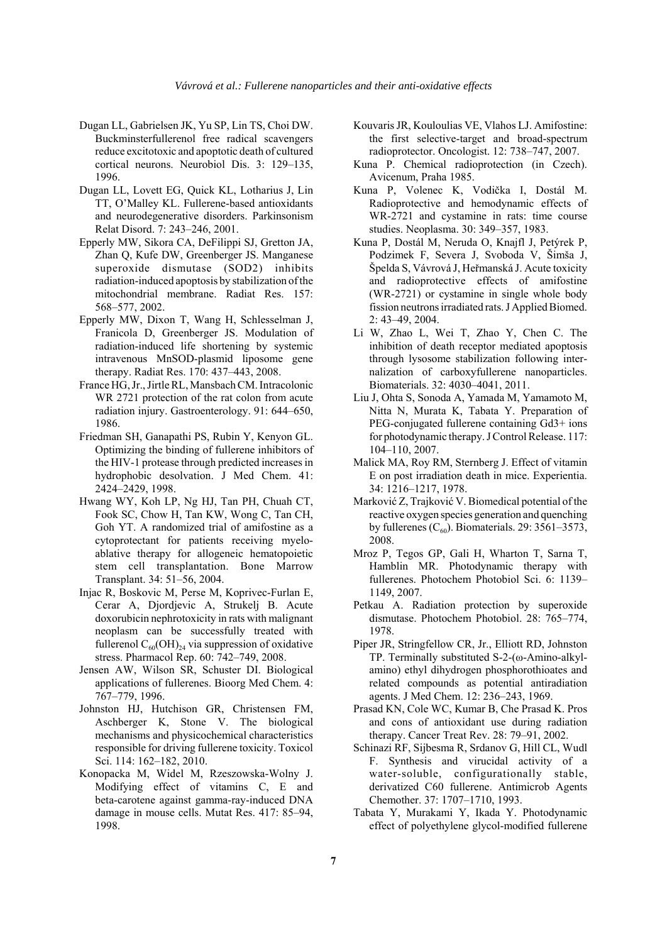- Dugan LL, Gabrielsen JK, Yu SP, Lin TS, Choi DW. Buckminsterfullerenol free radical scavengers reduce excitotoxic and apoptotic death of cultured cortical neurons. Neurobiol Dis. 3: 129–135, 1996.
- Dugan LL, Lovett EG, Quick KL, Lotharius J, Lin TT, O'Malley KL. Fullerene-based antioxidants and neurodegenerative disorders. Parkinsonism Relat Disord. 7: 243–246, 2001.
- Epperly MW, Sikora CA, DeFilippi SJ, Gretton JA, Zhan Q, Kufe DW, Greenberger JS. Manganese superoxide dismutase (SOD2) inhibits radiation-induced apoptosis by stabilization of the mitochondrial membrane. Radiat Res. 157: 568–577, 2002.
- Epperly MW, Dixon T, Wang H, Schlesselman J, Franicola D, Greenberger JS. Modulation of radiation-induced life shortening by systemic intravenous MnSOD-plasmid liposome gene therapy. Radiat Res. 170: 437–443, 2008.
- France HG, Jr., Jirtle RL, Mansbach CM. Intracolonic WR 2721 protection of the rat colon from acute radiation injury. Gastroenterology. 91: 644–650, 1986.
- Friedman SH, Ganapathi PS, Rubin Y, Kenyon GL. Optimizing the binding of fullerene inhibitors of the HIV-1 protease through predicted increases in hydrophobic desolvation. J Med Chem. 41: 2424–2429, 1998.
- Hwang WY, Koh LP, Ng HJ, Tan PH, Chuah CT, Fook SC, Chow H, Tan KW, Wong C, Tan CH, Goh YT. A randomized trial of amifostine as a cytoprotectant for patients receiving myeloablative therapy for allogeneic hematopoietic stem cell transplantation. Bone Marrow Transplant. 34: 51–56, 2004.
- Injac R, Boskovic M, Perse M, Koprivec-Furlan E, Cerar A, Djordjevic A, Strukelj B. Acute doxorubicin nephrotoxicity in rats with malignant neoplasm can be successfully treated with fullerenol  $C_{60}(OH)_{24}$  via suppression of oxidative stress. Pharmacol Rep. 60: 742–749, 2008.
- Jensen AW, Wilson SR, Schuster DI. Biological applications of fullerenes. Bioorg Med Chem. 4: 767–779, 1996.
- Johnston HJ, Hutchison GR, Christensen FM, Aschberger K, Stone V. The biological mechanisms and physicochemical characteristics responsible for driving fullerene toxicity. Toxicol Sci. 114: 162–182, 2010.
- Konopacka M, Widel M, Rzeszowska-Wolny J. Modifying effect of vitamins C, E and beta-carotene against gamma-ray-induced DNA damage in mouse cells. Mutat Res. 417: 85–94, 1998.
- Kouvaris JR, Kouloulias VE, Vlahos LJ. Amifostine: the first selective-target and broad-spectrum radioprotector. Oncologist. 12: 738–747, 2007.
- Kuna P. Chemical radioprotection (in Czech). Avicenum, Praha 1985.
- Kuna P, Volenec K, Vodička I, Dostál M. Radioprotective and hemodynamic effects of WR-2721 and cystamine in rats: time course studies. Neoplasma. 30: 349–357, 1983.
- Kuna P, Dostál M, Neruda O, Knajfl J, Petýrek P, Podzimek F, Severa J, Svoboda V, Šimša J, Špelda S, Vávrová J, Heřmanská J. Acute toxicity and radioprotective effects of amifostine (WR-2721) or cystamine in single whole body fission neutrons irradiated rats. J Applied Biomed. 2: 43–49, 2004.
- Li W, Zhao L, Wei T, Zhao Y, Chen C. The inhibition of death receptor mediated apoptosis through lysosome stabilization following internalization of carboxyfullerene nanoparticles. Biomaterials. 32: 4030–4041, 2011.
- Liu J, Ohta S, Sonoda A, Yamada M, Yamamoto M, Nitta N, Murata K, Tabata Y. Preparation of PEG-conjugated fullerene containing Gd3+ ions for photodynamic therapy. J Control Release. 117: 104–110, 2007.
- Malick MA, Roy RM, Sternberg J. Effect of vitamin E on post irradiation death in mice. Experientia. 34: 1216–1217, 1978.
- Marković Z, Trajković V. Biomedical potential of the reactive oxygen species generation and quenching by fullerenes  $(C_{60})$ . Biomaterials. 29: 3561–3573, 2008.
- Mroz P, Tegos GP, Gali H, Wharton T, Sarna T, Hamblin MR. Photodynamic therapy with fullerenes. Photochem Photobiol Sci. 6: 1139– 1149, 2007.
- Petkau A. Radiation protection by superoxide dismutase. Photochem Photobiol. 28: 765–774, 1978.
- Piper JR, Stringfellow CR, Jr., Elliott RD, Johnston TP. Terminally substituted S-2-(ω-Amino-alkylamino) ethyl dihydrogen phosphorothioates and related compounds as potential antiradiation agents. J Med Chem. 12: 236–243, 1969.
- Prasad KN, Cole WC, Kumar B, Che Prasad K. Pros and cons of antioxidant use during radiation therapy. Cancer Treat Rev. 28: 79–91, 2002.
- Schinazi RF, Sijbesma R, Srdanov G, Hill CL, Wudl F. Synthesis and virucidal activity of a water-soluble, configurationally stable, derivatized C60 fullerene. Antimicrob Agents Chemother. 37: 1707–1710, 1993.
- Tabata Y, Murakami Y, Ikada Y. Photodynamic effect of polyethylene glycol-modified fullerene